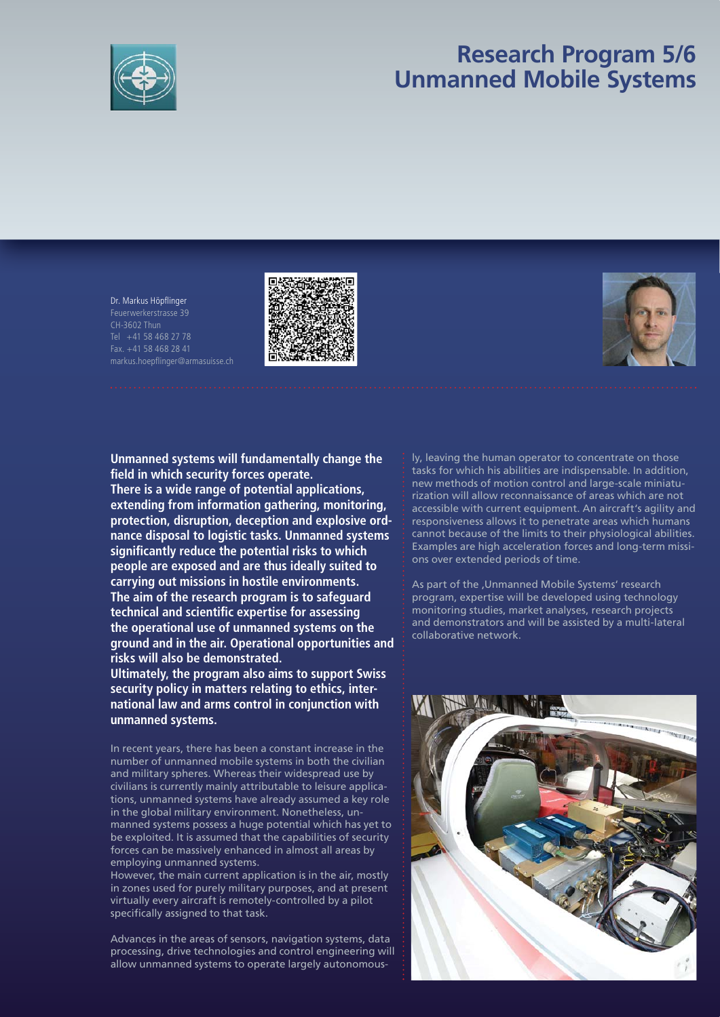

# **Research Program 5/6 Unmanned Mobile Systems**

Dr. Markus Höpflinger Feuerwerkerstrasse 39 Tel +41 58 468 27 78 Fax. +41 58 468 28 41 markus.hoepflinger@armasuisse.ch





**Unmanned systems will fundamentally change the fi eld in which security forces operate.** 

**There is a wide range of potential applications, extending from information gathering, monitoring, protection, disruption, deception and explosive ordnance disposal to logistic tasks. Unmanned systems signifi cantly reduce the potential risks to which people are exposed and are thus ideally suited to carrying out missions in hostile environments. The aim of the research program is to safeguard**  technical and scientific expertise for assessing **the operational use of unmanned systems on the ground and in the air. Operational opportunities and risks will also be demonstrated.**

**Ultimately, the program also aims to support Swiss security policy in matters relating to ethics, international law and arms control in conjunction with unmanned systems.**

In recent years, there has been a constant increase in the number of unmanned mobile systems in both the civilian and military spheres. Whereas their widespread use by civilians is currently mainly attributable to leisure applications, unmanned systems have already assumed a key role in the global military environment. Nonetheless, unmanned systems possess a huge potential which has yet to be exploited. It is assumed that the capabilities of security forces can be massively enhanced in almost all areas by employing unmanned systems.

However, the main current application is in the air, mostly in zones used for purely military purposes, and at present virtually every aircraft is remotely-controlled by a pilot specifically assigned to that task.

Advances in the areas of sensors, navigation systems, data processing, drive technologies and control engineering will allow unmanned systems to operate largely autonomously, leaving the human operator to concentrate on those tasks for which his abilities are indispensable. In addition, new methods of motion control and large-scale miniaturization will allow reconnaissance of areas which are not accessible with current equipment. An aircraft's agility and responsiveness allows it to penetrate areas which humans cannot because of the limits to their physiological abilities. Examples are high acceleration forces and long-term missions over extended periods of time.

As part of the , Unmanned Mobile Systems' research program, expertise will be developed using technology monitoring studies, market analyses, research projects and demonstrators and will be assisted by a multi-lateral collaborative network.